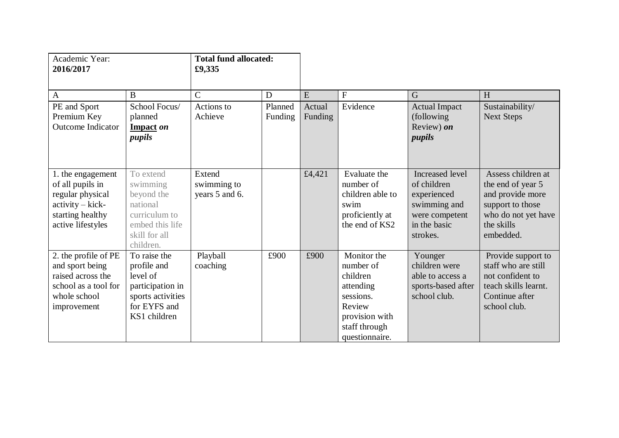| Academic Year:<br>2016/2017                                                                                             |                                                                                                                   | <b>Total fund allocated:</b><br>£9,335  |                    |                   |                                                                                                                               |                                                                                                             |                                                                                                                                   |
|-------------------------------------------------------------------------------------------------------------------------|-------------------------------------------------------------------------------------------------------------------|-----------------------------------------|--------------------|-------------------|-------------------------------------------------------------------------------------------------------------------------------|-------------------------------------------------------------------------------------------------------------|-----------------------------------------------------------------------------------------------------------------------------------|
| $\mathbf{A}$                                                                                                            | $\bf{B}$                                                                                                          | $\overline{C}$                          | D                  | E                 | ${\bf F}$                                                                                                                     | $\overline{G}$                                                                                              | H                                                                                                                                 |
| PE and Sport<br>Premium Key<br><b>Outcome Indicator</b>                                                                 | School Focus/<br>planned<br>Impact on<br>pupils                                                                   | Actions to<br>Achieve                   | Planned<br>Funding | Actual<br>Funding | Evidence                                                                                                                      | <b>Actual Impact</b><br>(following)<br>Review) on<br>pupils                                                 | Sustainability/<br><b>Next Steps</b>                                                                                              |
| 1. the engagement<br>of all pupils in<br>regular physical<br>$activity - kick$<br>starting healthy<br>active lifestyles | To extend<br>swimming<br>beyond the<br>national<br>curriculum to<br>embed this life<br>skill for all<br>children. | Extend<br>swimming to<br>years 5 and 6. |                    | £4,421            | Evaluate the<br>number of<br>children able to<br>swim<br>proficiently at<br>the end of KS2                                    | Increased level<br>of children<br>experienced<br>swimming and<br>were competent<br>in the basic<br>strokes. | Assess children at<br>the end of year 5<br>and provide more<br>support to those<br>who do not yet have<br>the skills<br>embedded. |
| 2. the profile of PE<br>and sport being<br>raised across the<br>school as a tool for<br>whole school<br>improvement     | To raise the<br>profile and<br>level of<br>participation in<br>sports activities<br>for EYFS and<br>KS1 children  | Playball<br>coaching                    | £900               | £900              | Monitor the<br>number of<br>children<br>attending<br>sessions.<br>Review<br>provision with<br>staff through<br>questionnaire. | Younger<br>children were<br>able to access a<br>sports-based after<br>school club.                          | Provide support to<br>staff who are still<br>not confident to<br>teach skills learnt.<br>Continue after<br>school club.           |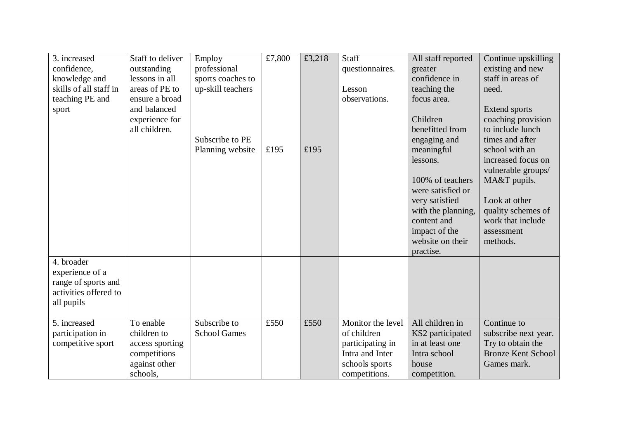| 3. increased<br>confidence,<br>knowledge and<br>skills of all staff in<br>teaching PE and<br>sport | Staff to deliver<br>outstanding<br>lessons in all<br>areas of PE to<br>ensure a broad<br>and balanced<br>experience for<br>all children. | Employ<br>professional<br>sports coaches to<br>up-skill teachers<br>Subscribe to PE<br>Planning website | £7,800<br>£195 | £3,218<br>£195 | Staff<br>questionnaires.<br>Lesson<br>observations.                                                        | All staff reported<br>greater<br>confidence in<br>teaching the<br>focus area.<br>Children<br>benefitted from<br>engaging and<br>meaningful<br>lessons.<br>100% of teachers<br>were satisfied or<br>very satisfied<br>with the planning,<br>content and<br>impact of the<br>website on their<br>practise. | Continue upskilling<br>existing and new<br>staff in areas of<br>need.<br>Extend sports<br>coaching provision<br>to include lunch<br>times and after<br>school with an<br>increased focus on<br>vulnerable groups/<br>MA&T pupils.<br>Look at other<br>quality schemes of<br>work that include<br>assessment<br>methods. |
|----------------------------------------------------------------------------------------------------|------------------------------------------------------------------------------------------------------------------------------------------|---------------------------------------------------------------------------------------------------------|----------------|----------------|------------------------------------------------------------------------------------------------------------|----------------------------------------------------------------------------------------------------------------------------------------------------------------------------------------------------------------------------------------------------------------------------------------------------------|-------------------------------------------------------------------------------------------------------------------------------------------------------------------------------------------------------------------------------------------------------------------------------------------------------------------------|
| 4. broader<br>experience of a<br>range of sports and<br>activities offered to<br>all pupils        |                                                                                                                                          |                                                                                                         |                |                |                                                                                                            |                                                                                                                                                                                                                                                                                                          |                                                                                                                                                                                                                                                                                                                         |
| 5. increased<br>participation in<br>competitive sport                                              | To enable<br>children to<br>access sporting<br>competitions<br>against other<br>schools,                                                 | Subscribe to<br><b>School Games</b>                                                                     | £550           | £550           | Monitor the level<br>of children<br>participating in<br>Intra and Inter<br>schools sports<br>competitions. | All children in<br>KS2 participated<br>in at least one<br>Intra school<br>house<br>competition.                                                                                                                                                                                                          | Continue to<br>subscribe next year.<br>Try to obtain the<br><b>Bronze Kent School</b><br>Games mark.                                                                                                                                                                                                                    |